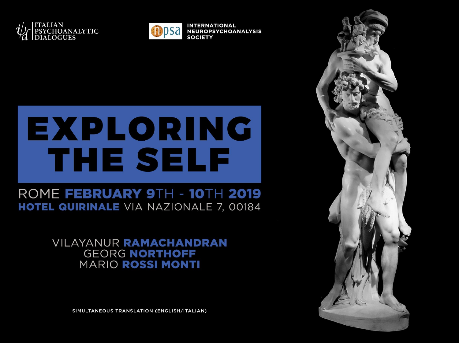



**INTERNATIONAL NEUROPSYCHOANALYSIS SOCIETY** 

# EXPLORING THE SELF

### ROME FEBRUARY 9TH - 10TH 2019 HOTEL QUIRINALE VIA NAZIONALE 7, 00184

**VILAYANUR RAMACHANDRAN GEORG NORTHOFF MARIO ROSSI MONTI** 

SIMULTANEOUS TRANSLATION (ENGLISH/ITALIAN)

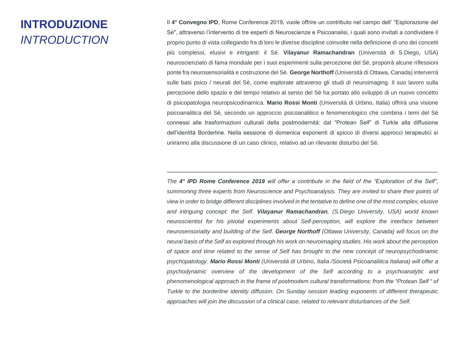### **INTRODUZIONE** *INTRODUCTION*

Il **4° Convegno IPD**, Rome Conference 2019, vuole offrire un contributo nel campo dell' "Esplorazione del Sé", attraverso l'intervento di tre esperti di Neuroscienze e Psicoanalisi, i quali sono invitati a condividere il proprio punto di vista collegando fra di loro le diverse discipline coinvolte nella definizione di uno dei concetti più complessi, elusivi e intriganti: il Sé. **Vilayanur Ramachandran** (Università di S.Diego, USA) neuroscienziato di fama mondiale per i suoi esperimenti sulla percezione del Sé, proporrà alcune riflessioni ponte fra neurosensorialità e costruzione del Sé. **George Northoff** (Università di Ottawa, Canada) interverrà sulle basi psico / neurali del Sé, come esplorate attraverso gli studi di neuroimaging. Il suo lavoro sulla percezione dello spazio e del tempo relativo al senso del Sé ha portato allo sviluppo di un nuovo concetto di psicopatologia neuropsicodinamica. **Mario Rossi Monti** (Università di Urbino, Italia) offrirà una visione psicoanalitica del Sé, secondo un approccio psicoanalitico e fenomenologico che combina i temi del Sé connessi alle trasformazioni culturali della postmodernità: dal "Protean Self" di Turkle alla diffusione dell'identità Borderline. Nella sessione di domenica esponenti di spicco di diversi approcci terapeutici si uniranno alla discussione di un caso clinico, relativo ad un rilevante disturbo del Sé.

*The 4° IPD Rome Conference 2019 will offer a contribute in the field of the "Exploration of the Self", summoning three experts from Neuroscience and Psychoanalysis. They are invited to share their points of view in order to bridge different disciplines involved in the tentative to define one of the most complex, elusive and intriguing concept: the Self. Vilayanur Ramachandran, (S.Diego University, USA) world known neuroscientist for his pivotal experiments about Self-perception, will explore the interface between neurosensoriality and building of the Self. George Northoff (Ottawa University, Canada) will focus on the neural basis of the Self as explored through his work on neuroimaging studies. His work about the perception of space and time related to the sense of Self has brought to the new concept of neuropsychodinamic psychopatology. Mario Rossi Monti (Università di Urbino, Italia /Società Psicoanalitica Italiana) will offer a psychodynamic overview of the development of the Self according to a psychoanalytic and phenomenological approach in the frame of postmodern cultural transformations: from the "Protean Self " of Turkle to the borderline identity diffusion. On Sunday session leading exponents of different therapeutic approaches will join the discussion of a clinical case, related to relevant disturbances of the Self.*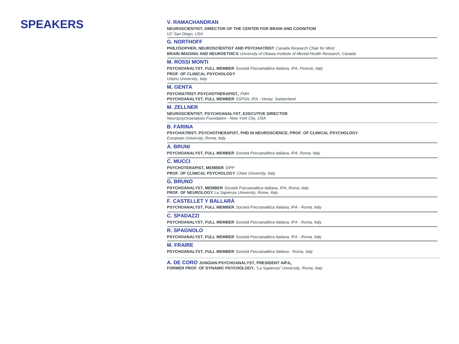### **SPEAKERS V. RAMACHANDRAN**

**NEUROSCIENTIST, DIRECTOR OF THE CENTER FOR BRAIN AND COGNITION**

*UC San Diego, USA*

#### **G. NORTHOFF**

**PHILOSOPHER, NEUROSCIENTIST AND PSYCHIATRIST** *Canada Research Chair for Mind* **BRAIN IMAGING AND NEUROETHICS** *University of Ottawa Institute of Mental Health Research, Canada*

#### **M. ROSSI MONTI**

**PSYCHOANALYST, FULL MEMBER** *Società Psicoanalitica Italiana, IPA, Firenze, Italy* **PROF. OF CLINICAL PSYCHOLOGY** *Urbino University, Italy*

#### **M. GENTA**

**PSYCHIATRIST-PSYCHOTHERAPIST**, *FMH* **PSYCHOANALYST, FULL MEMBER** *SSPSA; IPA - Vevey, Switzerland*

#### **M. ZELLNER**

**NEUROSCIENTIST, PSYCHOANALYST, EXECUTIVE DIRECTOR** *Neuropsychoanalysis Foundation - New York City, USA*

#### **B. FARINA**

**PSYCHIATRIST, PSYCHOTHERAPIST, PHD IN NEUROSCIENCE, PROF. OF CLINICAL PSYCHOLOGY**  *European University, Roma, Italy*

#### **A. BRUNI**

**PSYCHOANALYST, FULL MEMBER** *Società Psicoanalitica Italiana, IPA, Roma, Italy*

#### **C. MUCCI**

**PSYCHOTERAPIST, MEMBER** *SIPP*

**PROF. OF CLINICAL PSYCHOLOGY** *Chieti University, Italy*

#### **G. BRUNO**

**PSYCHOANALYST, MEMBER** *Società Psicoanalitica Italiana, IPA, Roma, Italy* **PROF. OF NEUROLOGY** *La Sapienza University, Rome, Italy*

#### **F. CASTELLET Y BALLARÀ**

**PSYCHOANALYST, FULL MEMBER** *Società Psicoanalitica Italiana, IPA - Roma, Italy*

#### **C. SPADAZZI**

**PSYCHOANALYST, FULL MEMBER** *Società Psicoanalitica Italiana, IPA - Roma, Italy*

#### **R. SPAGNOLO**

**PSYCHOANALYST, FULL MEMBER** *Società Psicoanalitica Italiana, IPA - Roma, Italy*

#### **M. FRAIRE**

**PSYCHOANALYST, FULL MEMBER** *Società Psicoanalitica Italiana - Roma, Italy*

**A. DE CORO JUNGIAN PSYCHOANALYST, PRESIDENT AIPA**,

**FORMER PROF. OF DYNAMIC PSYCHOLOGY,** *"La Sapienza" University, Roma, Italy*

**\_\_\_\_\_\_\_\_\_\_\_\_\_\_\_\_\_\_\_\_\_\_\_\_\_\_\_\_\_\_\_\_\_\_\_\_\_\_\_\_\_\_\_\_\_\_\_\_\_\_\_\_\_\_\_\_\_\_\_\_\_\_\_\_\_\_\_\_\_\_\_\_\_\_\_\_\_\_\_\_\_\_\_\_\_\_\_\_\_\_\_\_\_\_\_\_\_\_\_\_\_\_\_\_\_\_\_\_\_\_\_\_\_\_\_\_\_\_\_\_\_\_**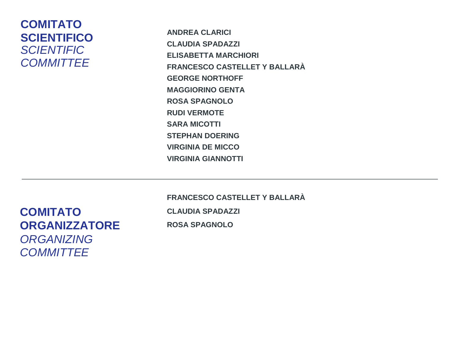### **COMITATO SCIENTIFICO** *SCIENTIFIC COMMITTEE*

**ANDREA CLARICI CLAUDIA SPADAZZI ELISABETTA MARCHIORI FRANCESCO CASTELLET Y BALLARÀ GEORGE NORTHOFF MAGGIORINO GENTA ROSA SPAGNOLO RUDI VERMOTE SARA MICOTTI STEPHAN DOERING VIRGINIA DE MICCO VIRGINIA GIANNOTTI**

**COMITATO ORGANIZZATORE** *ORGANIZING COMMITTEE*

**FRANCESCO CASTELLET Y BALLARÀ CLAUDIA SPADAZZI ROSA SPAGNOLO**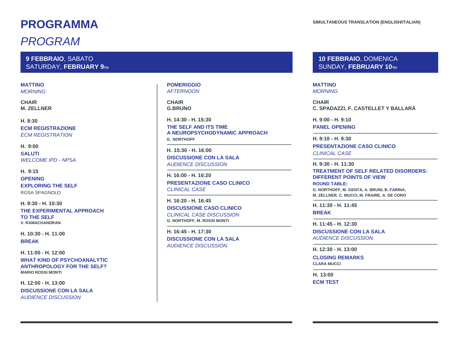### **PROGRAMMA**

### *PROGRAM*

**9 FEBBRAIO**, SABATO SATURDAY, FEBRUARY 9TH

### **MATTINO**

*MORNING*

**CHAIR M. ZELLNER**

**H. 8:30 ECM REGISTRAZIONE** *ECM REGISTRATION*

#### **H. 9:00**

**SALUTI** *WELCOME IPD - NPSA*

**H. 9:15 OPENING EXPLORING THE SELF** ROSA SPAGNOLO

**H. 9:30 - H. 10:30 THE EXPERIMENTAL APPROACH TO THE SELF V. RAMACHANDRAN**

**H. 10:30 - H. 11:00 BREAK**

**H. 11:00 - H. 12:00 WHAT KIND OF PSYCHOANALYTIC ANTHROPOLOGY FOR THE SELF? MARIO ROSSI MONTI**

**H. 12:00 - H. 13:00 DISCUSSIONE CON LA SALA** *AUDIENCE DISCUSSION*

#### **POMERIGGIO** *AFTERNOON*

**CHAIR G.BRUNO**

**H. 14:30 - H. 15:30 THE SELF AND ITS TIME A NEUROPSYCHODYNAMIC APPROACH G. NORTHOFF**

**H. 15:30 - H. 16:00 DISCUSSIONE CON LA SALA** *AUDIENCE DISCUSSION*

**H. 16:00 - H. 16:20 PRESENTAZIONE CASO CLINICO** *CLINICAL CASE*

**H. 16:20 - H. 16:45 DISCUSSIONE CASO CLINICO** *CLINICAL CASE DISCUSSION* **G. NORTHOFF, M. ROSSI MONTI**

**H. 16:45 - H. 17:30 DISCUSSIONE CON LA SALA** *AUDIENCE DISCUSSION*

**10 FEBBRAIO**, DOMENICA SUNDAY, **FEBRUARY 10TH**

**MATTINO** *MORNING*

**CHAIR C. SPADAZZI, F. CASTELLET Y BALLARÀ**

**H. 9:00 - H. 9:10 PANEL OPENING**

**H. 9:10 - H. 9:30 PRESENTAZIONE CASO CLINICO**  *CLINICAL CASE*

**H. 9:30 - H. 11:30 TREATMENT OF SELF RELATED DISORDERS: DIFFERENT POINTS OF VIEW ROUND TABLE:**

**G. NORTHOFF, M. GENTA, A. BRUNI, B. FARINA, M. ZELLNER, C. MUCCI, M. FRAIRE, A. DE CORO**

**H. 11:30 - H. 11:45 BREAK**

**H. 11:45 - H. 12:30 DISCUSSIONE CON LA SALA** *AUDIENCE DISCUSSION*

**H. 12:30 - H. 13:00**

**CLOSING REMARKS CLARA MUCCI**

**H. 13:00 ECM TEST**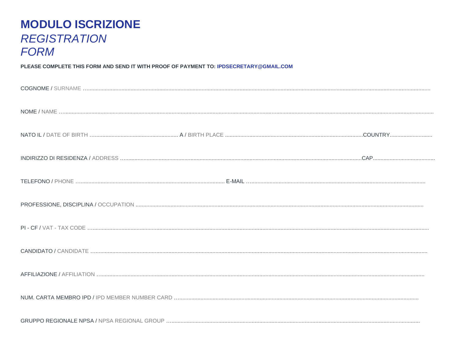### **MODULO ISCRIZIONE REGISTRATION FORM**

PLEASE COMPLETE THIS FORM AND SEND IT WITH PROOF OF PAYMENT TO: IPDSECRETARY@GMAIL.COM